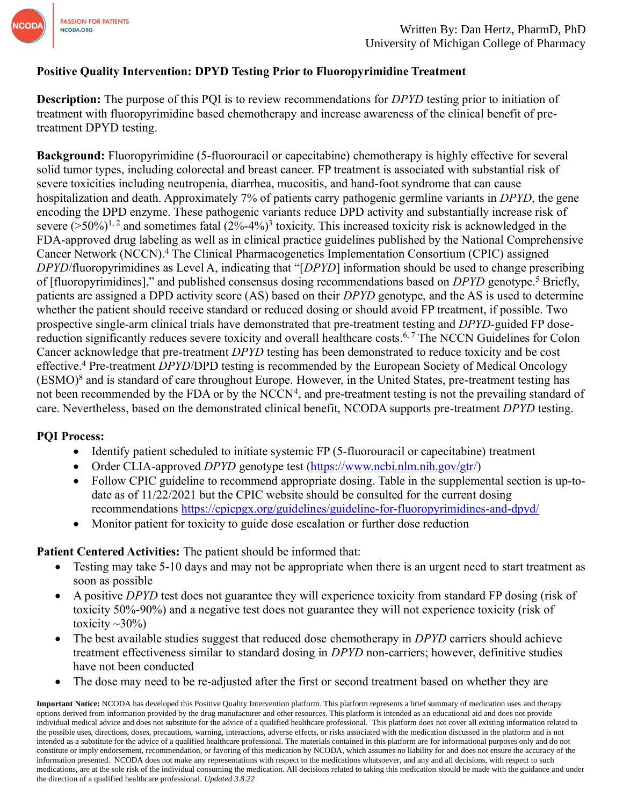

# **Positive Quality Intervention: DPYD Testing Prior to Fluoropyrimidine Treatment**

**Description:** The purpose of this PQI is to review recommendations for *DPYD* testing prior to initiation of treatment with fluoropyrimidine based chemotherapy and increase awareness of the clinical benefit of pretreatment DPYD testing.

**Background:** Fluoropyrimidine (5-fluorouracil or capecitabine) chemotherapy is highly effective for several solid tumor types, including colorectal and breast cancer. FP treatment is associated with substantial risk of severe toxicities including neutropenia, diarrhea, mucositis, and hand-foot syndrome that can cause hospitalization and death. Approximately 7% of patients carry pathogenic germline variants in *DPYD*, the gene encoding the DPD enzyme. These pathogenic variants reduce DPD activity and substantially increase risk of severe  $($ >50%)<sup>1, 2</sup> and sometimes fatal  $(2$ %-4%)<sup>3</sup> toxicity. This increased toxicity risk is acknowledged in the FDA-approved drug labeling as well as in clinical practice guidelines published by the National Comprehensive Cancer Network (NCCN). <sup>4</sup> The Clinical Pharmacogenetics Implementation Consortium (CPIC) assigned *DPYD*/fluoropyrimidines as Level A, indicating that "[*DPYD*] information should be used to change prescribing of [fluoropyrimidines]," and published consensus dosing recommendations based on *DPYD* genotype.<sup>5</sup> Briefly, patients are assigned a DPD activity score (AS) based on their *DPYD* genotype, and the AS is used to determine whether the patient should receive standard or reduced dosing or should avoid FP treatment, if possible. Two prospective single-arm clinical trials have demonstrated that pre-treatment testing and *DPYD*-guided FP dosereduction significantly reduces severe toxicity and overall healthcare costs.<sup>6,7</sup> The NCCN Guidelines for Colon Cancer acknowledge that pre-treatment *DPYD* testing has been demonstrated to reduce toxicity and be cost effective.<sup>4</sup> Pre-treatment *DPYD*/DPD testing is recommended by the European Society of Medical Oncology (ESMO)<sup>8</sup> and is standard of care throughout Europe. However, in the United States, pre-treatment testing has not been recommended by the FDA or by the NCCN<sup>4</sup>, and pre-treatment testing is not the prevailing standard of care. Nevertheless, based on the demonstrated clinical benefit, NCODA supports pre-treatment *DPYD* testing.

#### **PQI Process:**

- Identify patient scheduled to initiate systemic FP (5-fluorouracil or capecitabine) treatment
- Order CLIA-approved *DPYD* genotype test [\(https://www.ncbi.nlm.nih.gov/gtr/\)](https://www.ncbi.nlm.nih.gov/gtr/)
- Follow CPIC guideline to recommend appropriate dosing. Table in the supplemental section is up-todate as of 11/22/2021 but the CPIC website should be consulted for the current dosing recommendations <https://cpicpgx.org/guidelines/guideline-for-fluoropyrimidines-and-dpyd/>
- Monitor patient for toxicity to guide dose escalation or further dose reduction

## **Patient Centered Activities:** The patient should be informed that:

- Testing may take 5-10 days and may not be appropriate when there is an urgent need to start treatment as soon as possible
- A positive *DPYD* test does not guarantee they will experience toxicity from standard FP dosing (risk of toxicity 50%-90%) and a negative test does not guarantee they will not experience toxicity (risk of toxicity  $\sim$ 30%)
- The best available studies suggest that reduced dose chemotherapy in *DPYD* carriers should achieve treatment effectiveness similar to standard dosing in *DPYD* non-carriers; however, definitive studies have not been conducted
- The dose may need to be re-adjusted after the first or second treatment based on whether they are

**Important Notice:** NCODA has developed this Positive Quality Intervention platform. This platform represents a brief summary of medication uses and therapy options derived from information provided by the drug manufacturer and other resources. This platform is intended as an educational aid and does not provide individual medical advice and does not substitute for the advice of a qualified healthcare professional. This platform does not cover all existing information related to the possible uses, directions, doses, precautions, warning, interactions, adverse effects, or risks associated with the medication discussed in the platform and is not intended as a substitute for the advice of a qualified healthcare professional. The materials contained in this platform are for informational purposes only and do not constitute or imply endorsement, recommendation, or favoring of this medication by NCODA, which assumes no liability for and does not ensure the accuracy of the information presented. NCODA does not make any representations with respect to the medications whatsoever, and any and all decisions, with respect to such medications, are at the sole risk of the individual consuming the medication. All decisions related to taking this medication should be made with the guidance and under the direction of a qualified healthcare professional. *Updated 3.8.22*